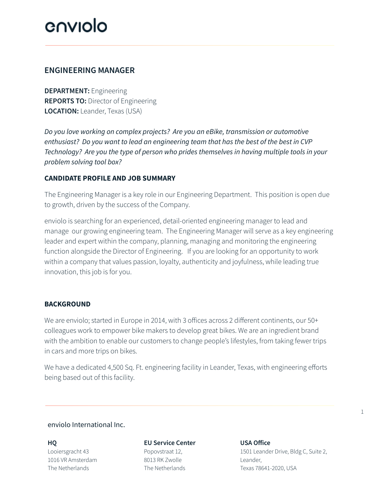## cuniolo

## **ENGINEERING MANAGER**

**DEPARTMENT:** Engineering **REPORTS TO:** Director of Engineering **LOCATION:** Leander, Texas (USA)

*Do you love working on complex projects? Are you an eBike, transmission or automotive enthusiast? Do you want to lead an engineering team that has the best of the best in CVP Technology? Are you the type of person who prides themselves in having multiple tools in your problem solving tool box?*

## **CANDIDATE PROFILE AND JOB SUMMARY**

The Engineering Manager is a key role in our Engineering Department. This position is open due to growth, driven by the success of the Company.

enviolo is searching for an experienced, detail-oriented engineering manager to lead and manage our growing engineering team. The Engineering Manager will serve as a key engineering leader and expert within the company, planning, managing and monitoring the engineering function alongside the Director of Engineering. If you are looking for an opportunity to work within a company that values passion, loyalty, authenticity and joyfulness, while leading true innovation, this job is for you.

## **BACKGROUND**

We are enviolo; started in Europe in 2014, with 3 offices across 2 different continents, our 50+ colleagues work to empower bike makers to develop great bikes. We are an ingredient brand with the ambition to enable our customers to change people's lifestyles, from taking fewer trips in cars and more trips on bikes.

We have a dedicated 4,500 Sq. Ft. engineering facility in Leander, Texas, with engineering efforts being based out of this facility.

## enviolo International Inc.

**HQ** Looiersgracht 43 1016 VR Amsterdam The Netherlands

## **EU Service Center**

Popovstraat 12, 8013 RK Zwolle The Netherlands

## **USA Office**

1501 Leander Drive, Bldg C, Suite 2, Leander, Texas 78641-2020, USA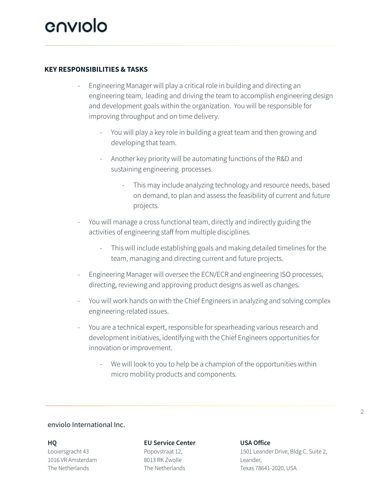## **KEY RESPONSIBILITIES & TASKS**

- Engineering Manager will play a critical role in building and directing an engineering team, leading and driving the team to accomplish engineering design and development goals within the organization. You will be responsible for improving throughput and on time delivery.
	- You will play a key role in building a great team and then growing and developing that team.
	- Another key priority will be automating functions of the R&D and sustaining engineering processes.
		- This may include analyzing technology and resource needs, based on demand, to plan and assess the feasibility of current and future projects.
- You will manage a cross functional team, directly and indirectly guiding the activities of engineering staff from multiple disciplines.
	- This will include establishing goals and making detailed timelines for the team, managing and directing current and future projects.
- Engineering Manager will oversee the ECN/ECR and engineering ISO processes, directing, reviewing and approving product designs as well as changes.
- You will work hands on with the Chief Engineers in analyzing and solving complex engineering-related issues.
- You are a technical expert, responsible for spearheading various research and development initiatives, identifying with the Chief Engineers opportunities for innovation or improvement.
	- We will look to you to help be a champion of the opportunities within micro mobility products and components.

### enviolo International Inc.

#### **HQ**

Looiersgracht 43 1016 VR Amsterdam The Netherlands

#### **EU Service Center**

Popovstraat 12, 8013 RK Zwolle The Netherlands

#### **USA Office**

1501 Leander Drive, Bldg C, Suite 2, Leander, Texas 78641-2020, USA